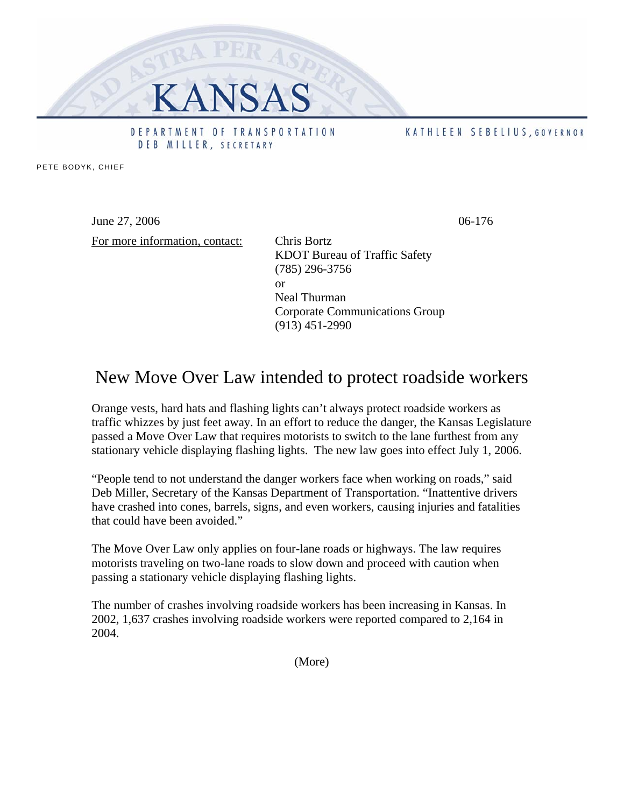

PETE BODYK, CHIEF

June 27, 2006 06-176

For more information, contact: Chris Bortz

DEB MILLER, SECRETARY

KDOT Bureau of Traffic Safety (785) 296-3756 or Neal Thurman Corporate Communications Group (913) 451-2990

## New Move Over Law intended to protect roadside workers

Orange vests, hard hats and flashing lights can't always protect roadside workers as traffic whizzes by just feet away. In an effort to reduce the danger, the Kansas Legislature passed a Move Over Law that requires motorists to switch to the lane furthest from any stationary vehicle displaying flashing lights. The new law goes into effect July 1, 2006.

"People tend to not understand the danger workers face when working on roads," said Deb Miller, Secretary of the Kansas Department of Transportation. "Inattentive drivers have crashed into cones, barrels, signs, and even workers, causing injuries and fatalities that could have been avoided."

The Move Over Law only applies on four-lane roads or highways. The law requires motorists traveling on two-lane roads to slow down and proceed with caution when passing a stationary vehicle displaying flashing lights.

The number of crashes involving roadside workers has been increasing in Kansas. In 2002, 1,637 crashes involving roadside workers were reported compared to 2,164 in 2004.

(More)